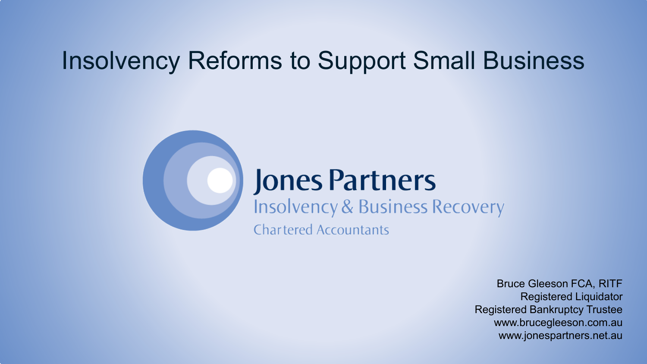### Insolvency Reforms to Support Small Business

## **Jones Partners**

**Insolvency & Business Recovery** 

**Chartered Accountants** 

Bruce Gleeson FCA, RITF Registered Liquidator Registered Bankruptcy Trustee www.brucegleeson.com.au www.jonespartners.net.au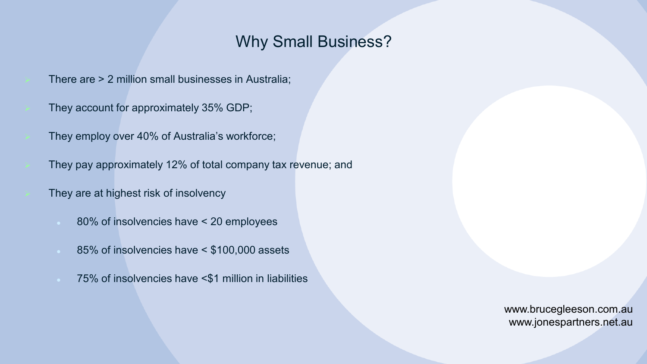#### Why Small Business?

- There are > 2 million small businesses in Australia;
- They account for approximately 35% GDP;
- They employ over 40% of Australia's workforce;
- They pay approximately 12% of total company tax revenue; and
	- They are at highest risk of insolvency
		- 80% of insolvencies have < 20 employees
		- 85% of insolvencies have < \$100,000 assets
		- 75% of insolvencies have <\$1 million in liabilities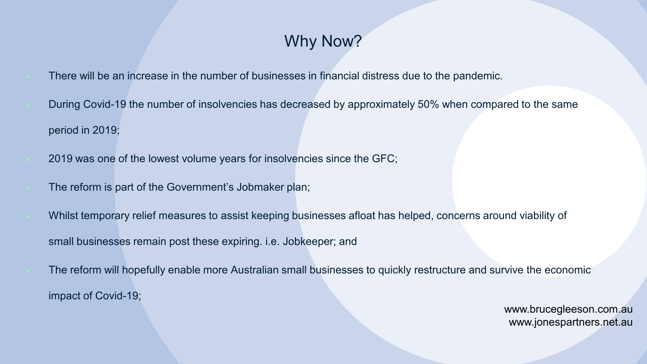### Why Now?

- There will be an increase in the number of businesses in financial distress due to the pandemic.
- During Covid-19 the number of insolvencies has decreased by approximately 50% when compared to the same period in 2019;
- 2019 was one of the lowest volume years for insolvencies since the GFC;
- The reform is part of the Government's Jobmaker plan;
- Whilst temporary relief measures to assist keeping businesses afloat has helped, concerns around viability of small businesses remain post these expiring. i.e. Jobkeeper; and
- The reform will hopefully enable more Australian small businesses to quickly restructure and survive the economic impact of Covid-19;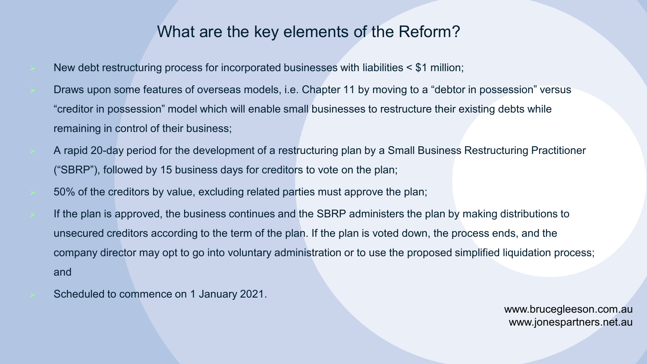#### What are the key elements of the Reform?

- New debt restructuring process for incorporated businesses with liabilities < \$1 million;
- Draws upon some features of overseas models, i.e. Chapter 11 by moving to a "debtor in possession" versus "creditor in possession" model which will enable small businesses to restructure their existing debts while remaining in control of their business;
- A rapid 20-day period for the development of a restructuring plan by a Small Business Restructuring Practitioner ("SBRP"), followed by 15 business days for creditors to vote on the plan;
- 50% of the creditors by value, excluding related parties must approve the plan;
- If the plan is approved, the business continues and the SBRP administers the plan by making distributions to unsecured creditors according to the term of the plan. If the plan is voted down, the process ends, and the company director may opt to go into voluntary administration or to use the proposed simplified liquidation process; and
- Scheduled to commence on 1 January 2021.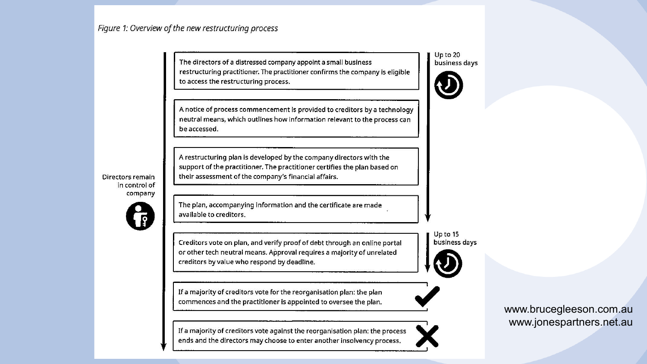Figure 1: Overview of the new restructuring process

The directors of a distressed company appoint a small business restructuring practitioner. The practitioner confirms the company is eligible to access the restructuring process.

A notice of process commencement is provided to creditors by a technology neutral means, which outlines how information relevant to the process can be accessed.

A restructuring plan is developed by the company directors with the support of the practitioner. The practitioner certifies the plan based on their assessment of the company's financial affairs.

Directors remain in control of company



The plan, accompanying information and the certificate are made available to creditors.

Creditors vote on plan, and verify proof of debt through an online portal or other tech neutral means. Approval requires a majority of unrelated creditors by value who respond by deadline.

If a majority of creditors vote for the reorganisation plan: the plan commences and the practitioner is appointed to oversee the plan.

If a majority of creditors vote against the reorganisation plan: the process ends and the directors may choose to enter another insolvency process.

#### Up to 20 business days



Up to 15 business days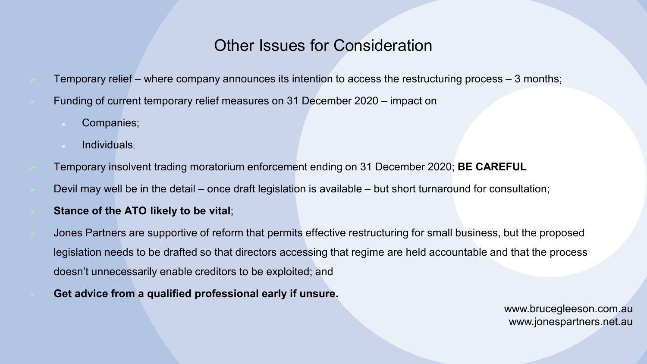#### Other Issues for Consideration

- Temporary relief where company announces its intention to access the restructuring process 3 months; Funding of current temporary relief measures on 31 December 2020 – impact on
	- Companies;
	- Individuals;
- Temporary insolvent trading moratorium enforcement ending on 31 December 2020; **BE CAREFUL**
- Devil may well be in the detail once draft legislation is available but short turnaround for consultation;
- **Stance of the ATO likely to be vital**;
- Jones Partners are supportive of reform that permits effective restructuring for small business, but the proposed legislation needs to be drafted so that directors accessing that regime are held accountable and that the process doesn't unnecessarily enable creditors to be exploited; and
- **Get advice from a qualified professional early if unsure.**